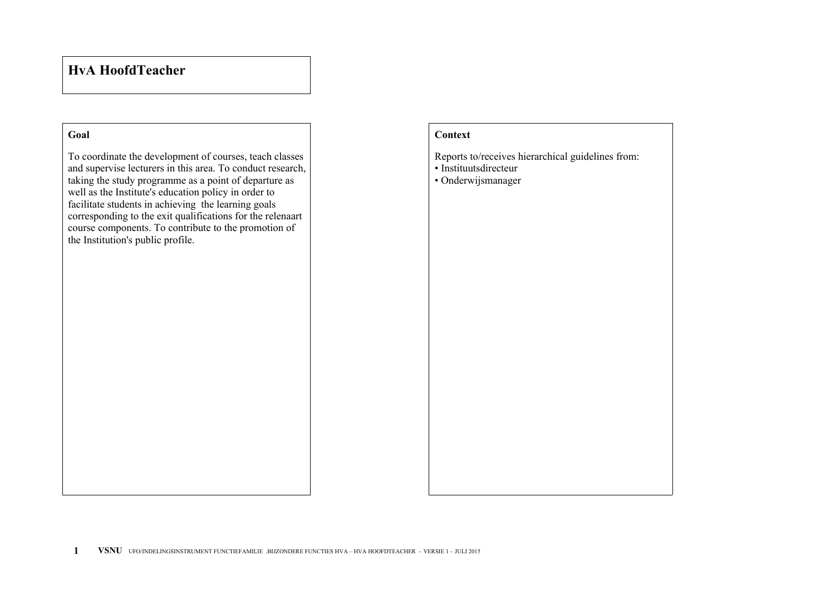## **HvA HoofdTeacher**

## **Goal**

To coordinate the development of courses, teach classes and supervise lecturers in this area. To conduct research, taking the study programme as a point of departure as well as the Institute's education policy in order to facilitate students in achieving the learning goals corresponding to the exit qualifications for the relenaart course components. To contribute to the promotion of the Institution's public profile.

## **Context**

Reports to/receives hierarchical guidelines from:

- Instituutsdirecteur
- Onderwijsmanager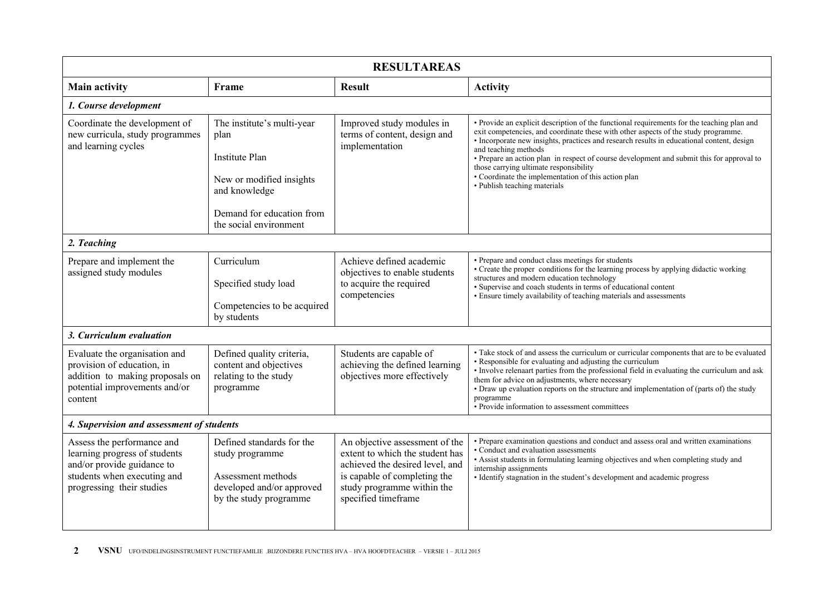| <b>RESULTAREAS</b>                                                                                                                                    |                                                                                                                                                                 |                                                                                                                                                                                           |                                                                                                                                                                                                                                                                                                                                                                                                                                                                                                                                     |  |  |  |
|-------------------------------------------------------------------------------------------------------------------------------------------------------|-----------------------------------------------------------------------------------------------------------------------------------------------------------------|-------------------------------------------------------------------------------------------------------------------------------------------------------------------------------------------|-------------------------------------------------------------------------------------------------------------------------------------------------------------------------------------------------------------------------------------------------------------------------------------------------------------------------------------------------------------------------------------------------------------------------------------------------------------------------------------------------------------------------------------|--|--|--|
| <b>Main activity</b>                                                                                                                                  | Frame                                                                                                                                                           | <b>Result</b>                                                                                                                                                                             | <b>Activity</b>                                                                                                                                                                                                                                                                                                                                                                                                                                                                                                                     |  |  |  |
| 1. Course development                                                                                                                                 |                                                                                                                                                                 |                                                                                                                                                                                           |                                                                                                                                                                                                                                                                                                                                                                                                                                                                                                                                     |  |  |  |
| Coordinate the development of<br>new curricula, study programmes<br>and learning cycles                                                               | The institute's multi-year<br>plan<br><b>Institute Plan</b><br>New or modified insights<br>and knowledge<br>Demand for education from<br>the social environment | Improved study modules in<br>terms of content, design and<br>implementation                                                                                                               | • Provide an explicit description of the functional requirements for the teaching plan and<br>exit competencies, and coordinate these with other aspects of the study programme.<br>· Incorporate new insights, practices and research results in educational content, design<br>and teaching methods<br>• Prepare an action plan in respect of course development and submit this for approval to<br>those carrying ultimate responsibility<br>• Coordinate the implementation of this action plan<br>• Publish teaching materials |  |  |  |
| 2. Teaching                                                                                                                                           |                                                                                                                                                                 |                                                                                                                                                                                           |                                                                                                                                                                                                                                                                                                                                                                                                                                                                                                                                     |  |  |  |
| Prepare and implement the<br>assigned study modules                                                                                                   | Curriculum<br>Specified study load<br>Competencies to be acquired<br>by students                                                                                | Achieve defined academic<br>objectives to enable students<br>to acquire the required<br>competencies                                                                                      | • Prepare and conduct class meetings for students<br>• Create the proper conditions for the learning process by applying didactic working<br>structures and modern education technology<br>· Supervise and coach students in terms of educational content<br>• Ensure timely availability of teaching materials and assessments                                                                                                                                                                                                     |  |  |  |
| 3. Curriculum evaluation                                                                                                                              |                                                                                                                                                                 |                                                                                                                                                                                           |                                                                                                                                                                                                                                                                                                                                                                                                                                                                                                                                     |  |  |  |
| Evaluate the organisation and<br>provision of education, in<br>addition to making proposals on<br>potential improvements and/or<br>content            | Defined quality criteria,<br>content and objectives<br>relating to the study<br>programme                                                                       | Students are capable of<br>achieving the defined learning<br>objectives more effectively                                                                                                  | • Take stock of and assess the curriculum or curricular components that are to be evaluated<br>• Responsible for evaluating and adjusting the curriculum<br>• Involve relenaart parties from the professional field in evaluating the curriculum and ask<br>them for advice on adjustments, where necessary<br>• Draw up evaluation reports on the structure and implementation of (parts of) the study<br>programme<br>• Provide information to assessment committees                                                              |  |  |  |
| 4. Supervision and assessment of students                                                                                                             |                                                                                                                                                                 |                                                                                                                                                                                           |                                                                                                                                                                                                                                                                                                                                                                                                                                                                                                                                     |  |  |  |
| Assess the performance and<br>learning progress of students<br>and/or provide guidance to<br>students when executing and<br>progressing their studies | Defined standards for the<br>study programme<br>Assessment methods<br>developed and/or approved<br>by the study programme                                       | An objective assessment of the<br>extent to which the student has<br>achieved the desired level, and<br>is capable of completing the<br>study programme within the<br>specified timeframe | • Prepare examination questions and conduct and assess oral and written examinations<br>• Conduct and evaluation assessments<br>• Assist students in formulating learning objectives and when completing study and<br>internship assignments<br>• Identify stagnation in the student's development and academic progress                                                                                                                                                                                                            |  |  |  |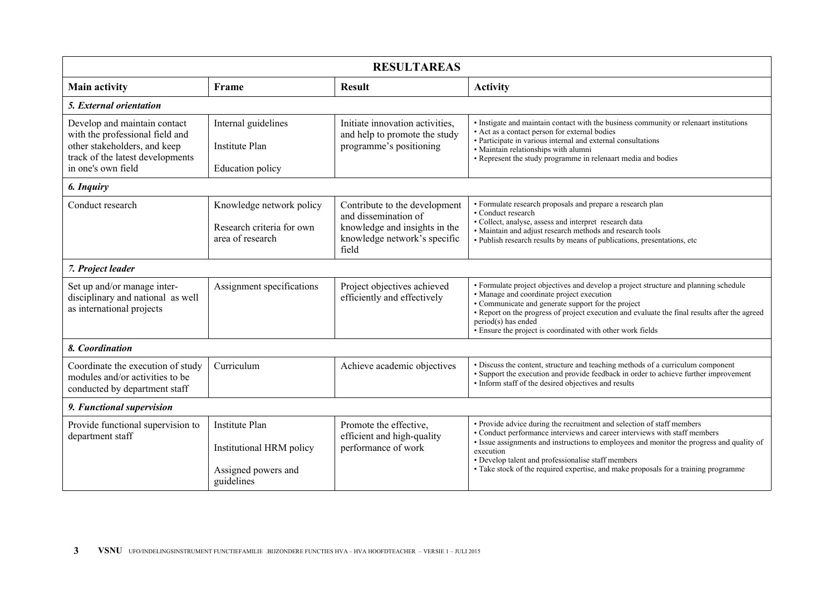| <b>RESULTAREAS</b>                                                                                                                                        |                                                                                        |                                                                                                                                 |                                                                                                                                                                                                                                                                                                                                                                                                            |  |  |
|-----------------------------------------------------------------------------------------------------------------------------------------------------------|----------------------------------------------------------------------------------------|---------------------------------------------------------------------------------------------------------------------------------|------------------------------------------------------------------------------------------------------------------------------------------------------------------------------------------------------------------------------------------------------------------------------------------------------------------------------------------------------------------------------------------------------------|--|--|
| <b>Main activity</b>                                                                                                                                      | Frame                                                                                  | <b>Result</b>                                                                                                                   | <b>Activity</b>                                                                                                                                                                                                                                                                                                                                                                                            |  |  |
| 5. External orientation                                                                                                                                   |                                                                                        |                                                                                                                                 |                                                                                                                                                                                                                                                                                                                                                                                                            |  |  |
| Develop and maintain contact<br>with the professional field and<br>other stakeholders, and keep<br>track of the latest developments<br>in one's own field | Internal guidelines<br><b>Institute Plan</b><br>Education policy                       | Initiate innovation activities.<br>and help to promote the study<br>programme's positioning                                     | • Instigate and maintain contact with the business community or relenaart institutions<br>• Act as a contact person for external bodies<br>• Participate in various internal and external consultations<br>· Maintain relationships with alumni<br>• Represent the study programme in relenaart media and bodies                                                                                           |  |  |
| 6. Inquiry                                                                                                                                                |                                                                                        |                                                                                                                                 |                                                                                                                                                                                                                                                                                                                                                                                                            |  |  |
| Conduct research                                                                                                                                          | Knowledge network policy<br>Research criteria for own<br>area of research              | Contribute to the development<br>and dissemination of<br>knowledge and insights in the<br>knowledge network's specific<br>field | • Formulate research proposals and prepare a research plan<br>• Conduct research<br>• Collect, analyse, assess and interpret research data<br>• Maintain and adjust research methods and research tools<br>• Publish research results by means of publications, presentations, etc.                                                                                                                        |  |  |
| 7. Project leader                                                                                                                                         |                                                                                        |                                                                                                                                 |                                                                                                                                                                                                                                                                                                                                                                                                            |  |  |
| Set up and/or manage inter-<br>disciplinary and national as well<br>as international projects                                                             | Assignment specifications                                                              | Project objectives achieved<br>efficiently and effectively                                                                      | • Formulate project objectives and develop a project structure and planning schedule<br>• Manage and coordinate project execution<br>• Communicate and generate support for the project<br>• Report on the progress of project execution and evaluate the final results after the agreed<br>period(s) has ended<br>• Ensure the project is coordinated with other work fields                              |  |  |
| 8. Coordination                                                                                                                                           |                                                                                        |                                                                                                                                 |                                                                                                                                                                                                                                                                                                                                                                                                            |  |  |
| Coordinate the execution of study<br>modules and/or activities to be<br>conducted by department staff                                                     | Curriculum                                                                             | Achieve academic objectives                                                                                                     | • Discuss the content, structure and teaching methods of a curriculum component<br>• Support the execution and provide feedback in order to achieve further improvement<br>• Inform staff of the desired objectives and results                                                                                                                                                                            |  |  |
| 9. Functional supervision                                                                                                                                 |                                                                                        |                                                                                                                                 |                                                                                                                                                                                                                                                                                                                                                                                                            |  |  |
| Provide functional supervision to<br>department staff                                                                                                     | <b>Institute Plan</b><br>Institutional HRM policy<br>Assigned powers and<br>guidelines | Promote the effective,<br>efficient and high-quality<br>performance of work                                                     | • Provide advice during the recruitment and selection of staff members<br>• Conduct performance interviews and career interviews with staff members<br>· Issue assignments and instructions to employees and monitor the progress and quality of<br>execution<br>• Develop talent and professionalise staff members<br>• Take stock of the required expertise, and make proposals for a training programme |  |  |